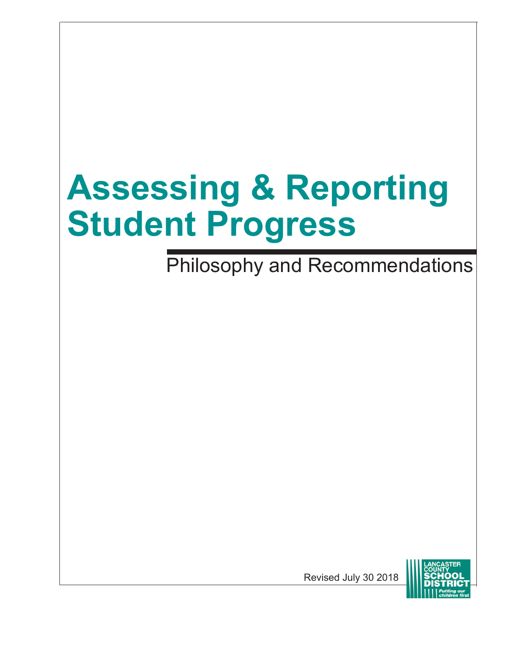# **Assessing & Reporting Student Progress**

Philosophy and Recommendations

Revised July 30 2018

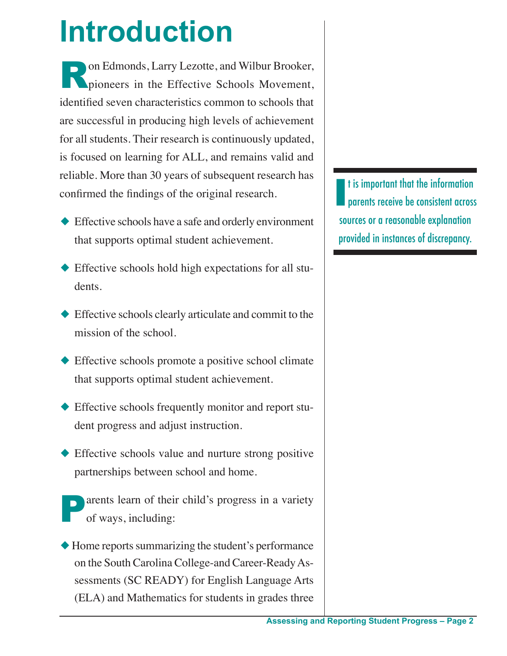## **Introduction**

**Ron Edmonds, Larry Lezotte, and Wilbur Brooker, pioneers in the Effective Schools Movement,** identified seven characteristics common to schools that are successful in producing high levels of achievement for all students. Their research is continuously updated, is focused on learning for ALL, and remains valid and reliable. More than 30 years of subsequent research has confirmed the findings of the original research.

- $\blacklozenge$  Effective schools have a safe and orderly environment that supports optimal student achievement.
- $\triangle$  Effective schools hold high expectations for all students.
- $\blacklozenge$  Effective schools clearly articulate and commit to the mission of the school.
- $\blacklozenge$  Effective schools promote a positive school climate that supports optimal student achievement.
- $\blacklozenge$  Effective schools frequently monitor and report student progress and adjust instruction.
- $\blacklozenge$  Effective schools value and nurture strong positive partnerships between school and home.
- arents learn of their child's progress in a variety of ways, including:
- $\blacklozenge$  Home reports summarizing the student's performance on the South Carolina College-and Career-Ready Assessments (SC READY) for English Language Arts (ELA) and Mathematics for students in grades three

I t is important that the information parents receive be consistent across sources or a reasonable explanation provided in instances of discrepancy.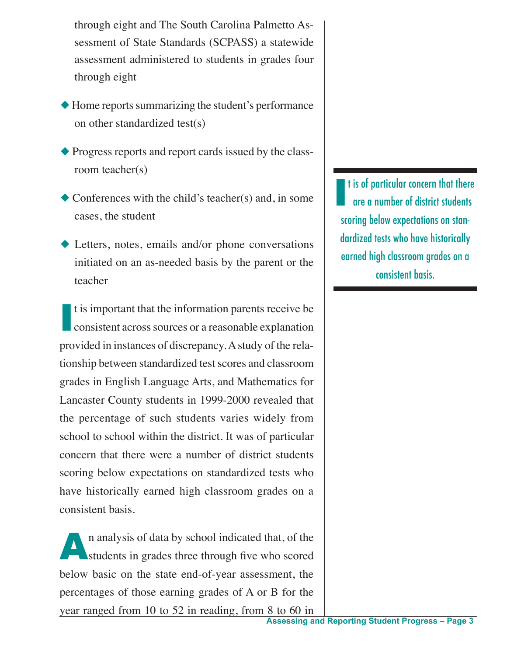through eight and The South Carolina Palmetto Assessment of State Standards (SCPASS) a statewide assessment administered to students in grades four through eight

- $\blacklozenge$  Home reports summarizing the student's performance on other standardized test(s)
- $\blacklozenge$  Progress reports and report cards issued by the classroom teacher(s)
- $\bullet$  Conferences with the child's teacher(s) and, in some cases, the student
- $\blacklozenge$  Letters, notes, emails and/or phone conversations initiated on an as-needed basis by the parent or the teacher

I t is important that the information parents receive be consistent across sources or a reasonable explanation provided in instances of discrepancy. A study of the relationship between standardized test scores and classroom grades in English Language Arts, and Mathematics for Lancaster County students in 1999-2000 revealed that the percentage of such students varies widely from school to school within the district. It was of particular concern that there were a number of district students scoring below expectations on standardized tests who have historically earned high classroom grades on a consistent basis.

n analysis of data by school indicated that, of the students in grades three through five who scored below basic on the state end-of-year assessment, the percentages of those earning grades of A or B for the year ranged from 10 to 52 in reading, from 8 to 60 in

I t is of particular concern that there are a number of district students scoring below expectations on standardized tests who have historically earned high classroom grades on a consistent basis.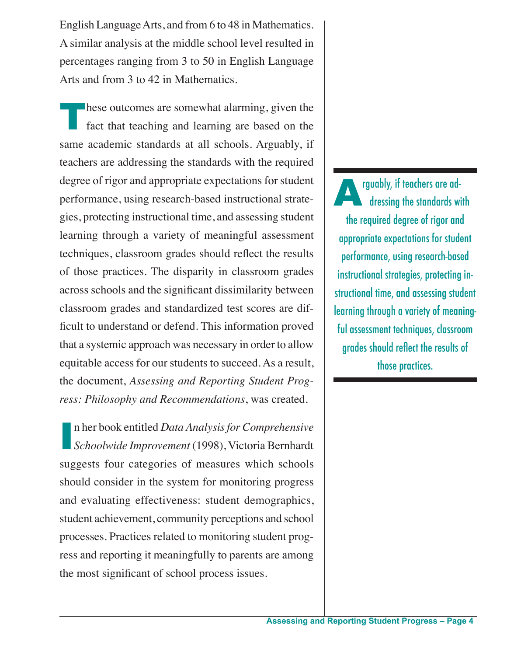English Language Arts, and from 6 to 48 in Mathematics. A similar analysis at the middle school level resulted in percentages ranging from 3 to 50 in English Language Arts and from 3 to 42 in Mathematics.

These outcomes are somewhat alarming, given the fact that teaching and learning are based on the same academic standards at all schools. Arguably, if teachers are addressing the standards with the required degree of rigor and appropriate expectations for student performance, using research-based instructional strategies, protecting instructional time, and assessing student learning through a variety of meaningful assessment techniques, classroom grades should reflect the results of those practices. The disparity in classroom grades across schools and the significant dissimilarity between classroom grades and standardized test scores are difficult to understand or defend. This information proved that a systemic approach was necessary in order to allow equitable access for our students to succeed. As a result, the document, *Assessing and Reporting Student Progress: Philosophy and Recommendations*, was created.

I n her book entitled *Data Analysis for Comprehensive Schoolwide Improvement* (1998), Victoria Bernhardt suggests four categories of measures which schools should consider in the system for monitoring progress and evaluating effectiveness: student demographics, student achievement, community perceptions and school processes. Practices related to monitoring student progress and reporting it meaningfully to parents are among the most significant of school process issues.

rguably, if teachers are addressing the standards with the required degree of rigor and appropriate expectations for student performance, using research-based instructional strategies, protecting instructional time, and assessing student learning through a variety of meaningful assessment techniques, classroom grades should reflect the results of those practices.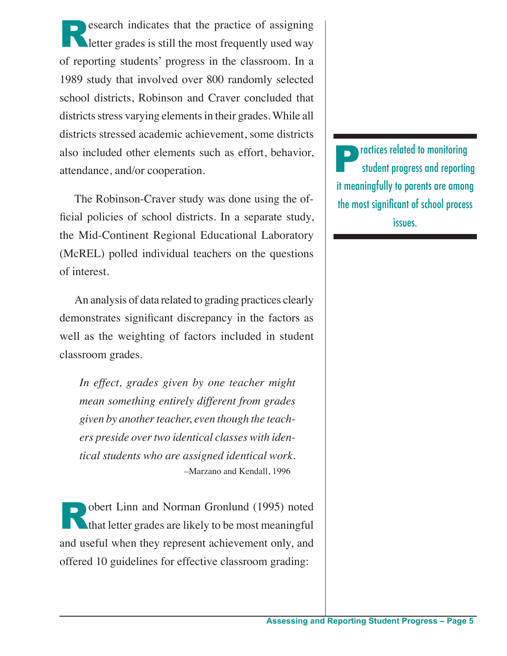**Research indicates that the practice of assigning letter grades is still the most frequently used way** of reporting students' progress in the classroom. In a 1989 study that involved over 800 randomly selected school districts, Robinson and Craver concluded that districts stress varying elements in their grades. While all districts stressed academic achievement, some districts also included other elements such as effort, behavior, attendance, and/or cooperation.

The Robinson-Craver study was done using the official policies of school districts. In a separate study, the Mid-Continent Regional Educational Laboratory (McREL) polled individual teachers on the questions of interest.

An analysis of data related to grading practices clearly demonstrates significant discrepancy in the factors as well as the weighting of factors included in student classroom grades.

*In effect, grades given by one teacher might mean something entirely different from grades given by another teacher, even though the teachers preside over two identical classes with identical students who are assigned identical work.* –Marzano and Kendall, 1996

Robert Linn and Norman Gronlund (1995) noted **that letter grades are likely to be most meaningful** and useful when they represent achievement only, and offered 10 guidelines for effective classroom grading:

**Practices related to monitoring** student progress and reporting it meaningfully to parents are among the most significant of school process issues.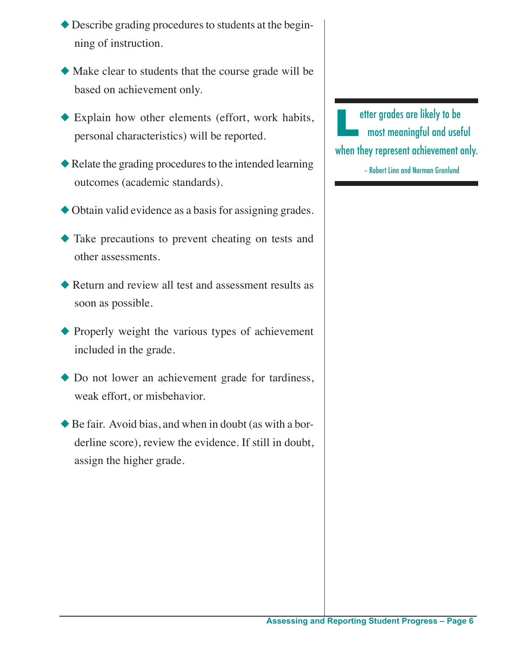- $\blacklozenge$  Describe grading procedures to students at the beginning of instruction.
- $\blacklozenge$  Make clear to students that the course grade will be based on achievement only.
- $\blacklozenge$  Explain how other elements (effort, work habits, personal characteristics) will be reported.
- $\blacklozenge$  Relate the grading procedures to the intended learning outcomes (academic standards).
- $\blacklozenge$  Obtain valid evidence as a basis for assigning grades.
- $\blacklozenge$  Take precautions to prevent cheating on tests and other assessments.
- $\blacklozenge$  Return and review all test and assessment results as soon as possible.
- $\blacklozenge$  Properly weight the various types of achievement included in the grade.
- $\bullet$  Do not lower an achievement grade for tardiness, weak effort, or misbehavior.
- $\blacklozenge$  Be fair. Avoid bias, and when in doubt (as with a borderline score), review the evidence. If still in doubt, assign the higher grade.

etter grades are likely to be most meaningful and useful when they represent achievement only.

– Robert Linn and Norman Gronlund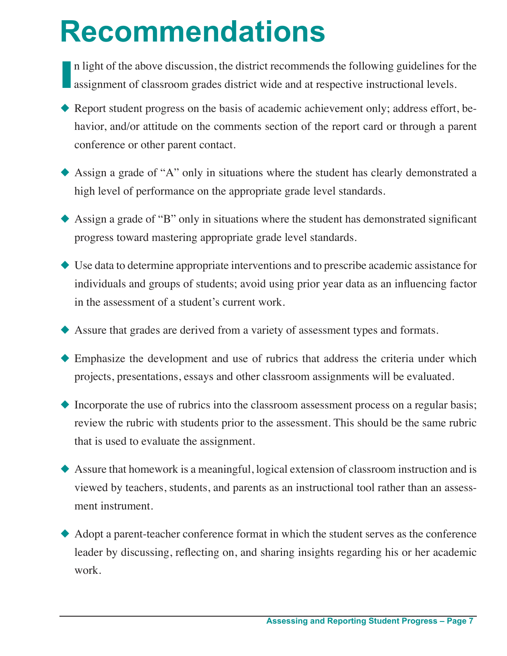## **Recommendations**

In light of the above discussion, the district recommends the following guidelines for assignment of classroom grades district wide and at respective instructional levels. n light of the above discussion, the district recommends the following guidelines for the

- Report student progress on the basis of academic achievement only; address effort, behavior, and/or attitude on the comments section of the report card or through a parent conference or other parent contact.
- $\triangle$  Assign a grade of "A" only in situations where the student has clearly demonstrated a high level of performance on the appropriate grade level standards.
- $\triangle$  Assign a grade of "B" only in situations where the student has demonstrated significant progress toward mastering appropriate grade level standards.
- $\blacklozenge$  Use data to determine appropriate interventions and to prescribe academic assistance for individuals and groups of students; avoid using prior year data as an influencing factor in the assessment of a student's current work.
- $\blacklozenge$  Assure that grades are derived from a variety of assessment types and formats.
- $\blacklozenge$  Emphasize the development and use of rubrics that address the criteria under which projects, presentations, essays and other classroom assignments will be evaluated.
- $\blacklozenge$  Incorporate the use of rubrics into the classroom assessment process on a regular basis; review the rubric with students prior to the assessment. This should be the same rubric that is used to evaluate the assignment.
- $\blacklozenge$  Assure that homework is a meaningful, logical extension of classroom instruction and is viewed by teachers, students, and parents as an instructional tool rather than an assessment instrument.
- $\blacklozenge$  Adopt a parent-teacher conference format in which the student serves as the conference leader by discussing, reflecting on, and sharing insights regarding his or her academic work.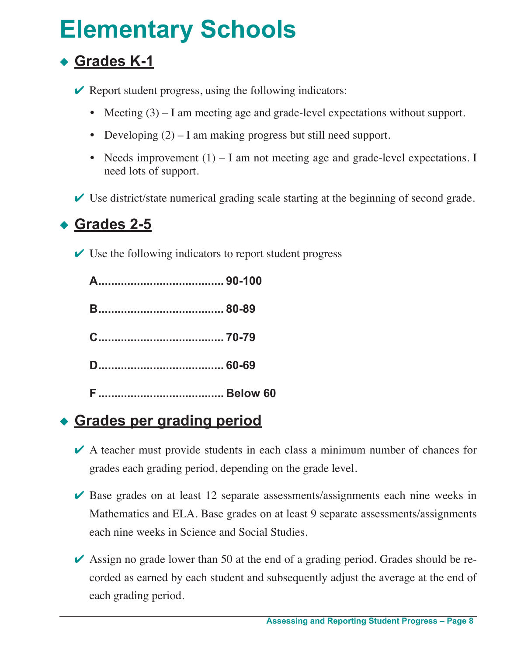### **Elementary Schools**

#### ◆ Grades K-1

 $\vee$  Report student progress, using the following indicators:

- Meeting (3) I am meeting age and grade-level expectations without support.
- **•** Developing (2) I am making progress but still need support.
- Needs improvement (1) I am not meeting age and grade-level expectations. I need lots of support.
- $\vee$  Use district/state numerical grading scale starting at the beginning of second grade.

#### **<u>Grades 2-5</u>**

 $\vee$  Use the following indicators to report student progress

#### **Example Serge Serge Server Server Server Server Server Server Server Server Server Server Server Server Server Server Server Server Server Server Server Server Server Server Server Server Server Server Server Server Serve**

- $\vee$  A teacher must provide students in each class a minimum number of chances for grades each grading period, depending on the grade level.
- $\vee$  Base grades on at least 12 separate assessments/assignments each nine weeks in Mathematics and ELA. Base grades on at least 9 separate assessments/assignments each nine weeks in Science and Social Studies.
- $\blacktriangleright$  Assign no grade lower than 50 at the end of a grading period. Grades should be recorded as earned by each student and subsequently adjust the average at the end of each grading period.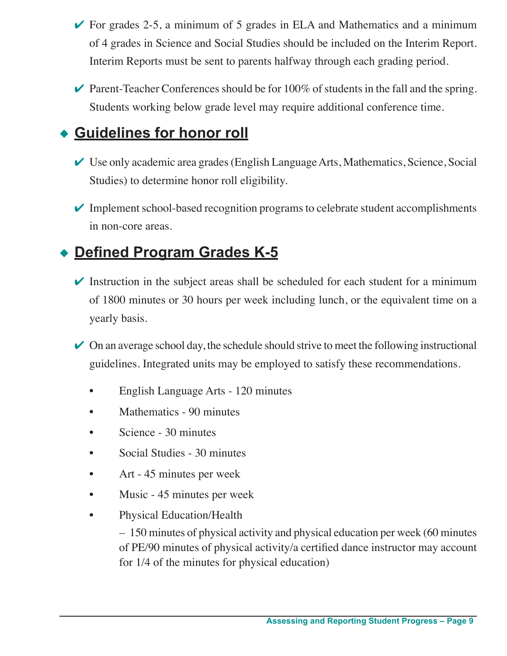- $\triangleright$  For grades 2-5, a minimum of 5 grades in ELA and Mathematics and a minimum of 4 grades in Science and Social Studies should be included on the Interim Report. Interim Reports must be sent to parents halfway through each grading period.
- $\triangleright$  Parent-Teacher Conferences should be for 100% of students in the fall and the spring. Students working below grade level may require additional conference time.

#### **Euidelines for honor roll**

- $\vee$  Use only academic area grades (English Language Arts, Mathematics, Science, Social Studies) to determine honor roll eligibility.
- $\triangledown$  Implement school-based recognition programs to celebrate student accomplishments in non-core areas.

#### ◆ **Defined Program Grades K-5**

- $\triangleright$  Instruction in the subject areas shall be scheduled for each student for a minimum of 1800 minutes or 30 hours per week including lunch, or the equivalent time on a yearly basis.
- $\vee$  On an average school day, the schedule should strive to meet the following instructional guidelines. Integrated units may be employed to satisfy these recommendations.
	- English Language Arts 120 minutes
	- Mathematics 90 minutes
	- Science 30 minutes
	- Social Studies 30 minutes
	- Art 45 minutes per week
	- Music 45 minutes per week
	- Physical Education/Health

 – 150 minutes of physical activity and physical education per week (60 minutes of PE/90 minutes of physical activity/a certified dance instructor may account for 1/4 of the minutes for physical education)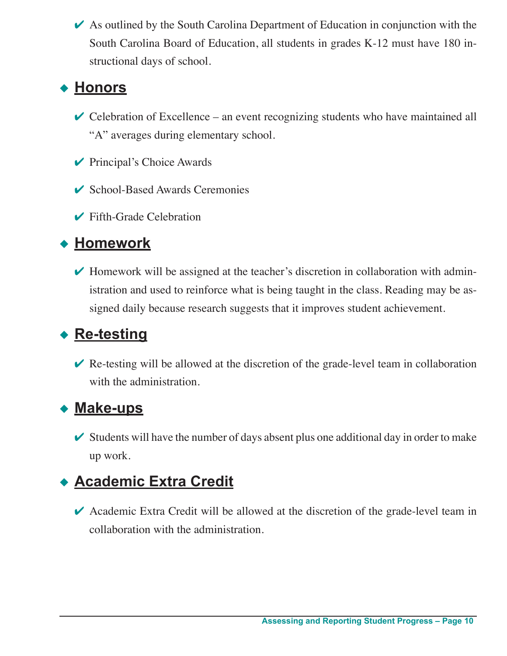$\triangleright$  As outlined by the South Carolina Department of Education in conjunction with the South Carolina Board of Education, all students in grades K-12 must have 180 instructional days of school.

#### <u>◆ Honors</u>

- $\vee$  Celebration of Excellence an event recognizing students who have maintained all "A" averages during elementary school.
- $\vee$  Principal's Choice Awards
- $\vee$  School-Based Awards Ceremonies
- $\blacktriangleright$  Fifth-Grade Celebration

#### ◆ Homework

 $\blacktriangleright$  Homework will be assigned at the teacher's discretion in collaboration with administration and used to reinforce what is being taught in the class. Reading may be assigned daily because research suggests that it improves student achievement.

#### ◆ Re-testing

 $\vee$  Re-testing will be allowed at the discretion of the grade-level team in collaboration with the administration.

#### **Make-ups**

 $\triangleright$  Students will have the number of days absent plus one additional day in order to make up work.

#### u **Academic Extra Credit**

Academic Extra Credit will be allowed at the discretion of the grade-level team in collaboration with the administration.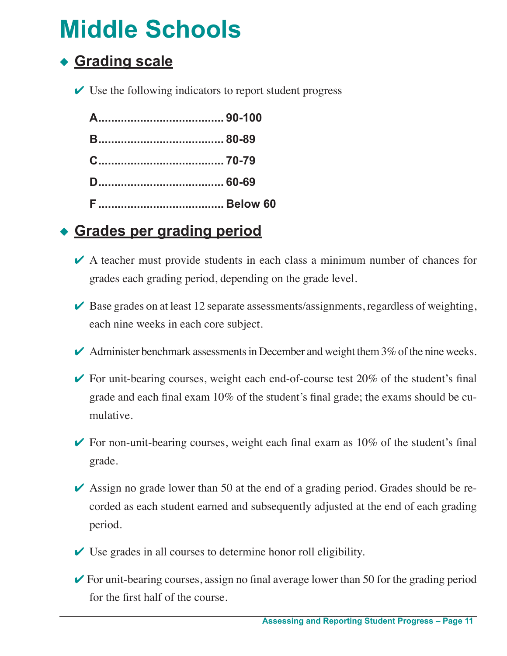### **Middle Schools**

#### **Grading scale**

 $\vee$  Use the following indicators to report student progress

#### **Example Sergading period**

- $\vee$  A teacher must provide students in each class a minimum number of chances for grades each grading period, depending on the grade level.
- $\blacktriangleright$  Base grades on at least 12 separate assessments/assignments, regardless of weighting, each nine weeks in each core subject.
- $\blacktriangleright$  Administer benchmark assessments in December and weight them 3% of the nine weeks.
- $\triangleright$  For unit-bearing courses, weight each end-of-course test 20% of the student's final grade and each final exam 10% of the student's final grade; the exams should be cumulative.
- $\triangleright$  For non-unit-bearing courses, weight each final exam as 10% of the student's final grade.
- $\triangleright$  Assign no grade lower than 50 at the end of a grading period. Grades should be recorded as each student earned and subsequently adjusted at the end of each grading period.
- $\vee$  Use grades in all courses to determine honor roll eligibility.
- $\triangleright$  For unit-bearing courses, assign no final average lower than 50 for the grading period for the first half of the course.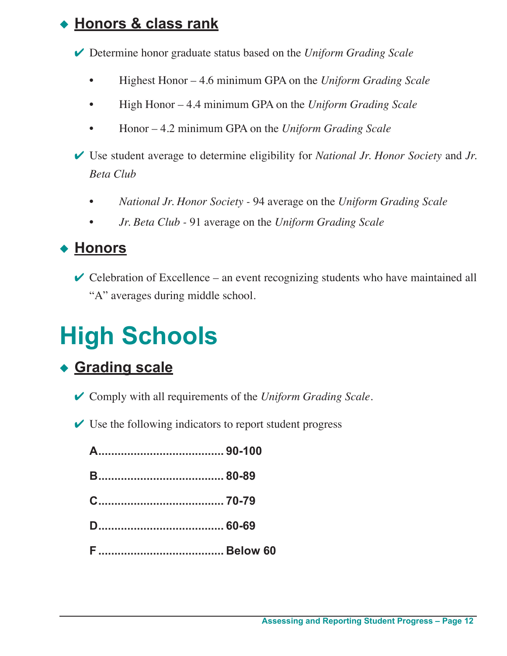#### **Honors & class rank**

4 Determine honor graduate status based on the *Uniform Grading Scale*

- Highest Honor 4.6 minimum GPA on the *Uniform Grading Scale*
- High Honor 4.4 minimum GPA on the *Uniform Grading Scale*
- Honor 4.2 minimum GPA on the *Uniform Grading Scale*

4 Use student average to determine eligibility for *National Jr. Honor Society* and *Jr. Beta Club*

- *• National Jr. Honor Society -* 94 average on the *Uniform Grading Scale*
- *Jr. Beta Club* 91 average on the *Uniform Grading Scale*

#### <u>◆ Honors</u>

 $\vee$  Celebration of Excellence – an event recognizing students who have maintained all "A" averages during middle school.

### **High Schools**

#### ◆ Grading scale

- 4 Comply with all requirements of the *Uniform Grading Scale*.
- $\vee$  Use the following indicators to report student progress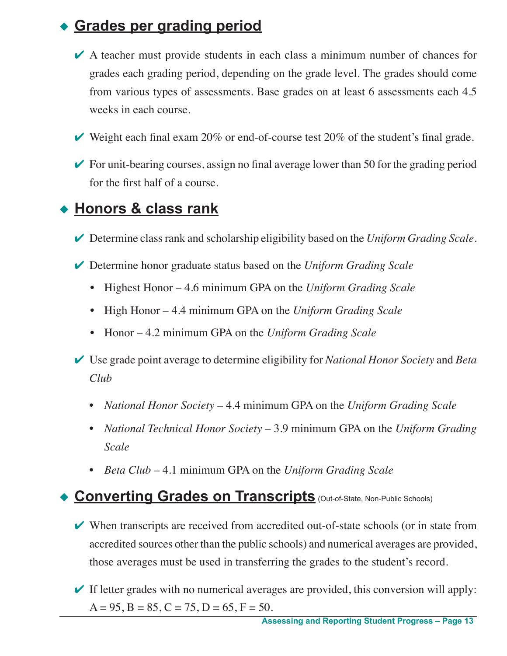#### **Grades per grading period**

- $\vee$  A teacher must provide students in each class a minimum number of chances for grades each grading period, depending on the grade level. The grades should come from various types of assessments. Base grades on at least 6 assessments each 4.5 weeks in each course.
- $\blacktriangleright$  Weight each final exam 20% or end-of-course test 20% of the student's final grade.
- $\triangleright$  For unit-bearing courses, assign no final average lower than 50 for the grading period for the first half of a course.

#### u **Honors & class rank**

- 4 Determine class rank and scholarship eligibility based on the *Uniform Grading Scale*.
- 4 Determine honor graduate status based on the *Uniform Grading Scale*
	- Highest Honor 4.6 minimum GPA on the *Uniform Grading Scale*
	- High Honor 4.4 minimum GPA on the *Uniform Grading Scale*
	- Honor 4.2 minimum GPA on the *Uniform Grading Scale*
- 4 Use grade point average to determine eligibility for *National Honor Society* and *Beta Club*
	- *National Honor Society* 4.4 minimum GPA on the *Uniform Grading Scale*
	- *National Technical Honor Society* 3.9 minimum GPA on the *Uniform Grading Scale*
	- *Beta Club* 4.1 minimum GPA on the *Uniform Grading Scale*

#### **Converting Grades on Transcripts** (Out-of-State, Non-Public Schools)

- $\vee$  When transcripts are received from accredited out-of-state schools (or in state from accredited sources other than the public schools) and numerical averages are provided, those averages must be used in transferring the grades to the student's record.
- $\blacktriangleright$  If letter grades with no numerical averages are provided, this conversion will apply:  $A = 95$ ,  $B = 85$ ,  $C = 75$ ,  $D = 65$ ,  $F = 50$ .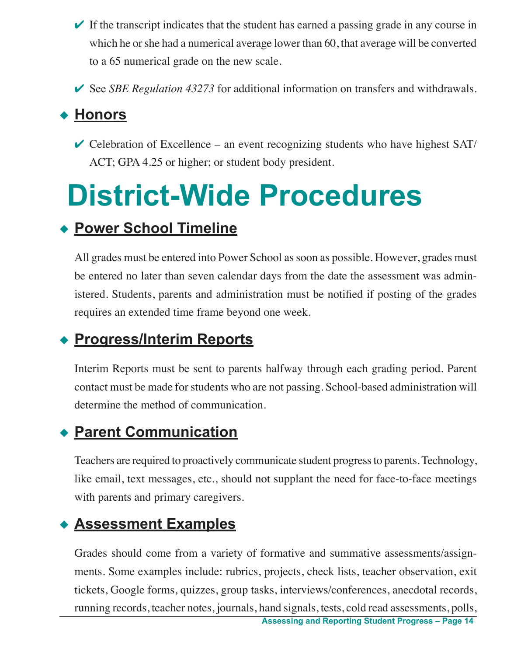- $\blacktriangleright$  If the transcript indicates that the student has earned a passing grade in any course in which he or she had a numerical average lower than 60, that average will be converted to a 65 numerical grade on the new scale.
- ◆ See *SBE Regulation 43273* for additional information on transfers and withdrawals.

#### ◆ Honors

 $\vee$  Celebration of Excellence – an event recognizing students who have highest SAT/ ACT; GPA 4.25 or higher; or student body president.

# **District-Wide Procedures**

#### u **Power School Timeline**

All grades must be entered into Power School as soon as possible. However, grades must be entered no later than seven calendar days from the date the assessment was administered. Students, parents and administration must be notified if posting of the grades requires an extended time frame beyond one week.

#### u **Progress/Interim Reports**

Interim Reports must be sent to parents halfway through each grading period. Parent contact must be made for students who are not passing. School-based administration will determine the method of communication.

#### **◆ Parent Communication**

Teachers are required to proactively communicate student progress to parents. Technology, like email, text messages, etc., should not supplant the need for face-to-face meetings with parents and primary caregivers.

#### **Assessment Examples**

Grades should come from a variety of formative and summative assessments/assignments. Some examples include: rubrics, projects, check lists, teacher observation, exit tickets, Google forms, quizzes, group tasks, interviews/conferences, anecdotal records, running records, teacher notes, journals, hand signals, tests, cold read assessments, polls,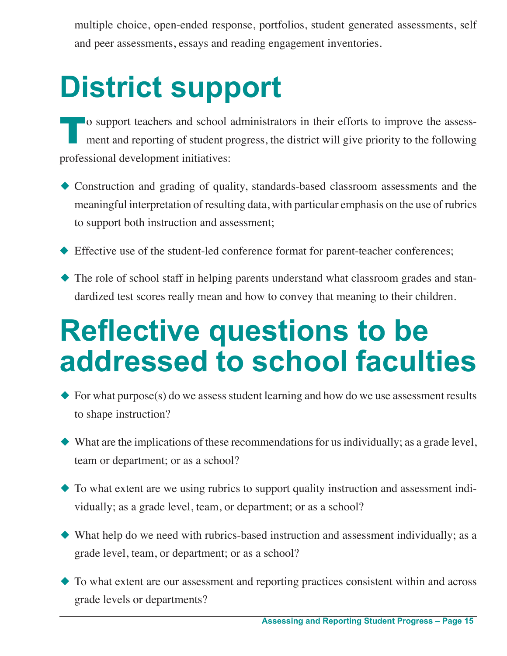multiple choice, open-ended response, portfolios, student generated assessments, self and peer assessments, essays and reading engagement inventories.

# **District support**

To support teachers and school administrators in their efforts to improve the assessment and reporting of student progress, the district will give priority to the following professional development initiatives:

- $\triangle$  Construction and grading of quality, standards-based classroom assessments and the meaningful interpretation of resulting data, with particular emphasis on the use of rubrics to support both instruction and assessment;
- $\blacklozenge$  Effective use of the student-led conference format for parent-teacher conferences;
- $\blacklozenge$  The role of school staff in helping parents understand what classroom grades and standardized test scores really mean and how to convey that meaning to their children.

### **Reflective questions to be addressed to school faculties**

- $\blacklozenge$  For what purpose(s) do we assess student learning and how do we use assessment results to shape instruction?
- $\blacklozenge$  What are the implications of these recommendations for us individually; as a grade level, team or department; or as a school?
- $\blacklozenge$  To what extent are we using rubrics to support quality instruction and assessment individually; as a grade level, team, or department; or as a school?
- $\blacklozenge$  What help do we need with rubrics-based instruction and assessment individually; as a grade level, team, or department; or as a school?
- $\blacklozenge$  To what extent are our assessment and reporting practices consistent within and across grade levels or departments?